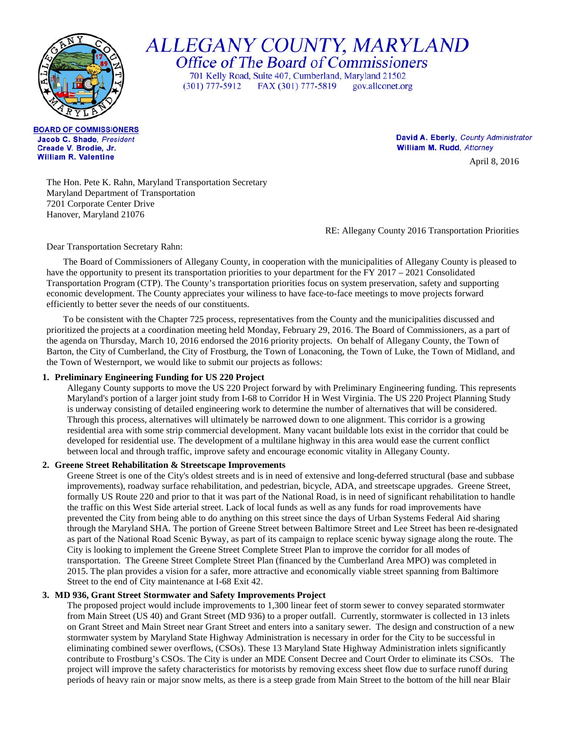

ALLEGANY COUNTY, MARYLAND<br>Office of The Board of Commissioners

701 Kelly Road, Suite 407, Cumberland, Maryland 21502  $(301)$  777-5912 FAX (301) 777-5819 gov.allconet.org

**BOARD OF COMMISSIONERS** Jacob C. Shade, President Creade V. Brodie, Jr. **William R. Valentine** 

David A. Eberly, County Administrator William M. Rudd, Attorney

April 8, 2016

The Hon. Pete K. Rahn, Maryland Transportation Secretary Maryland Department of Transportation 7201 Corporate Center Drive Hanover, Maryland 21076

RE: Allegany County 2016 Transportation Priorities

Dear Transportation Secretary Rahn:

The Board of Commissioners of Allegany County, in cooperation with the municipalities of Allegany County is pleased to have the opportunity to present its transportation priorities to your department for the FY 2017 – 2021 Consolidated Transportation Program (CTP). The County's transportation priorities focus on system preservation, safety and supporting economic development. The County appreciates your wiliness to have face-to-face meetings to move projects forward efficiently to better sever the needs of our constituents.

To be consistent with the Chapter 725 process, representatives from the County and the municipalities discussed and prioritized the projects at a coordination meeting held Monday, February 29, 2016. The Board of Commissioners, as a part of the agenda on Thursday, March 10, 2016 endorsed the 2016 priority projects. On behalf of Allegany County, the Town of Barton, the City of Cumberland, the City of Frostburg, the Town of Lonaconing, the Town of Luke, the Town of Midland, and the Town of Westernport, we would like to submit our projects as follows:

## **1. Preliminary Engineering Funding for US 220 Project**

Allegany County supports to move the US 220 Project forward by with Preliminary Engineering funding. This represents Maryland's portion of a larger joint study from I-68 to Corridor H in West Virginia. The US 220 Project Planning Study is underway consisting of detailed engineering work to determine the number of alternatives that will be considered. Through this process, alternatives will ultimately be narrowed down to one alignment. This corridor is a growing residential area with some strip commercial development. Many vacant buildable lots exist in the corridor that could be developed for residential use. The development of a multilane highway in this area would ease the current conflict between local and through traffic, improve safety and encourage economic vitality in Allegany County.

## **2. Greene Street Rehabilitation & Streetscape Improvements**

Greene Street is one of the City's oldest streets and is in need of extensive and long-deferred structural (base and subbase improvements), roadway surface rehabilitation, and pedestrian, bicycle, ADA, and streetscape upgrades. Greene Street, formally US Route 220 and prior to that it was part of the National Road, is in need of significant rehabilitation to handle the traffic on this West Side arterial street. Lack of local funds as well as any funds for road improvements have prevented the City from being able to do anything on this street since the days of Urban Systems Federal Aid sharing through the Maryland SHA. The portion of Greene Street between Baltimore Street and Lee Street has been re-designated as part of the National Road Scenic Byway, as part of its campaign to replace scenic byway signage along the route. The City is looking to implement the Greene Street Complete Street Plan to improve the corridor for all modes of transportation. The Greene Street Complete Street Plan (financed by the Cumberland Area MPO) was completed in 2015. The plan provides a vision for a safer, more attractive and economically viable street spanning from Baltimore Street to the end of City maintenance at I-68 Exit 42.

## **3. MD 936, Grant Street Stormwater and Safety Improvements Project**

The proposed project would include improvements to 1,300 linear feet of storm sewer to convey separated stormwater from Main Street (US 40) and Grant Street (MD 936) to a proper outfall. Currently, stormwater is collected in 13 inlets on Grant Street and Main Street near Grant Street and enters into a sanitary sewer. The design and construction of a new stormwater system by Maryland State Highway Administration is necessary in order for the City to be successful in eliminating combined sewer overflows, (CSOs). These 13 Maryland State Highway Administration inlets significantly contribute to Frostburg's CSOs. The City is under an MDE Consent Decree and Court Order to eliminate its CSOs. The project will improve the safety characteristics for motorists by removing excess sheet flow due to surface runoff during periods of heavy rain or major snow melts, as there is a steep grade from Main Street to the bottom of the hill near Blair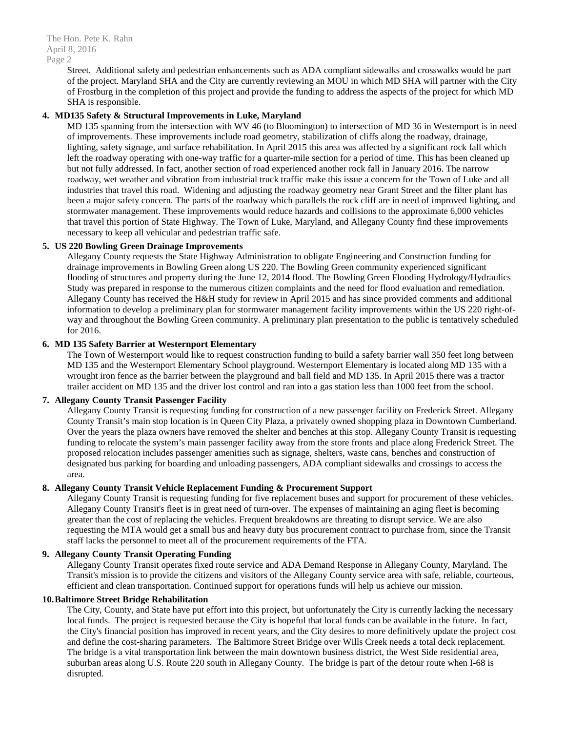The Hon. Pete K. Rahn April 8, 2016 Page 2

> Street. Additional safety and pedestrian enhancements such as ADA compliant sidewalks and crosswalks would be part of the project. Maryland SHA and the City are currently reviewing an MOU in which MD SHA will partner with the City of Frostburg in the completion of this project and provide the funding to address the aspects of the project for which MD SHA is responsible.

# **4. MD135 Safety & Structural Improvements in Luke, Maryland**

MD 135 spanning from the intersection with WV 46 (to Bloomington) to intersection of MD 36 in Westernport is in need of improvements. These improvements include road geometry, stabilization of cliffs along the roadway, drainage, lighting, safety signage, and surface rehabilitation. In April 2015 this area was affected by a significant rock fall which left the roadway operating with one-way traffic for a quarter-mile section for a period of time. This has been cleaned up but not fully addressed. In fact, another section of road experienced another rock fall in January 2016. The narrow roadway, wet weather and vibration from industrial truck traffic make this issue a concern for the Town of Luke and all industries that travel this road. Widening and adjusting the roadway geometry near Grant Street and the filter plant has been a major safety concern. The parts of the roadway which parallels the rock cliff are in need of improved lighting, and stormwater management. These improvements would reduce hazards and collisions to the approximate 6,000 vehicles that travel this portion of State Highway. The Town of Luke, Maryland, and Allegany County find these improvements necessary to keep all vehicular and pedestrian traffic safe.

## **5. US 220 Bowling Green Drainage Improvements**

Allegany County requests the State Highway Administration to obligate Engineering and Construction funding for drainage improvements in Bowling Green along US 220. The Bowling Green community experienced significant flooding of structures and property during the June 12, 2014 flood. The Bowling Green Flooding Hydrology/Hydraulics Study was prepared in response to the numerous citizen complaints and the need for flood evaluation and remediation. Allegany County has received the H&H study for review in April 2015 and has since provided comments and additional information to develop a preliminary plan for stormwater management facility improvements within the US 220 right-ofway and throughout the Bowling Green community. A preliminary plan presentation to the public is tentatively scheduled for 2016.

### **6. MD 135 Safety Barrier at Westernport Elementary**

The Town of Westernport would like to request construction funding to build a safety barrier wall 350 feet long between MD 135 and the Westernport Elementary School playground. Westernport Elementary is located along MD 135 with a wrought iron fence as the barrier between the playground and ball field and MD 135. In April 2015 there was a tractor trailer accident on MD 135 and the driver lost control and ran into a gas station less than 1000 feet from the school.

#### **7. Allegany County Transit Passenger Facility**

Allegany County Transit is requesting funding for construction of a new passenger facility on Frederick Street. Allegany County Transit's main stop location is in Queen City Plaza, a privately owned shopping plaza in Downtown Cumberland. Over the years the plaza owners have removed the shelter and benches at this stop. Allegany County Transit is requesting funding to relocate the system's main passenger facility away from the store fronts and place along Frederick Street. The proposed relocation includes passenger amenities such as signage, shelters, waste cans, benches and construction of designated bus parking for boarding and unloading passengers, ADA compliant sidewalks and crossings to access the area.

# **8. Allegany County Transit Vehicle Replacement Funding & Procurement Support**

Allegany County Transit is requesting funding for five replacement buses and support for procurement of these vehicles. Allegany County Transit's fleet is in great need of turn-over. The expenses of maintaining an aging fleet is becoming greater than the cost of replacing the vehicles. Frequent breakdowns are threating to disrupt service. We are also requesting the MTA would get a small bus and heavy duty bus procurement contract to purchase from, since the Transit staff lacks the personnel to meet all of the procurement requirements of the FTA.

## **9. Allegany County Transit Operating Funding**

Allegany County Transit operates fixed route service and ADA Demand Response in Allegany County, Maryland. The Transit's mission is to provide the citizens and visitors of the Allegany County service area with safe, reliable, courteous, efficient and clean transportation. Continued support for operations funds will help us achieve our mission.

### **10.Baltimore Street Bridge Rehabilitation**

The City, County, and State have put effort into this project, but unfortunately the City is currently lacking the necessary local funds. The project is requested because the City is hopeful that local funds can be available in the future. In fact, the City's financial position has improved in recent years, and the City desires to more definitively update the project cost and define the cost-sharing parameters. The Baltimore Street Bridge over Wills Creek needs a total deck replacement. The bridge is a vital transportation link between the main downtown business district, the West Side residential area, suburban areas along U.S. Route 220 south in Allegany County. The bridge is part of the detour route when I-68 is disrupted.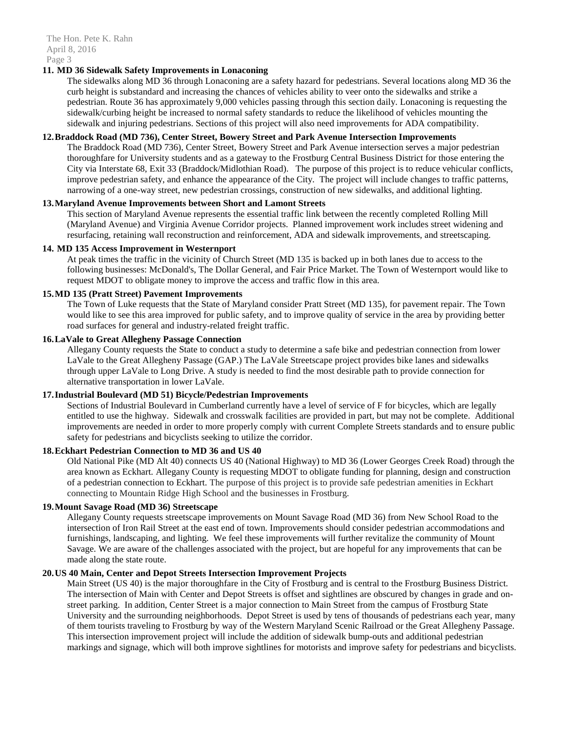### **11. MD 36 Sidewalk Safety Improvements in Lonaconing**

The sidewalks along MD 36 through Lonaconing are a safety hazard for pedestrians. Several locations along MD 36 the curb height is substandard and increasing the chances of vehicles ability to veer onto the sidewalks and strike a pedestrian. Route 36 has approximately 9,000 vehicles passing through this section daily. Lonaconing is requesting the sidewalk/curbing height be increased to normal safety standards to reduce the likelihood of vehicles mounting the sidewalk and injuring pedestrians. Sections of this project will also need improvements for ADA compatibility.

# **12.Braddock Road (MD 736), Center Street, Bowery Street and Park Avenue Intersection Improvements**

The Braddock Road (MD 736), Center Street, Bowery Street and Park Avenue intersection serves a major pedestrian thoroughfare for University students and as a gateway to the Frostburg Central Business District for those entering the City via Interstate 68, Exit 33 (Braddock/Midlothian Road). The purpose of this project is to reduce vehicular conflicts, improve pedestrian safety, and enhance the appearance of the City. The project will include changes to traffic patterns, narrowing of a one-way street, new pedestrian crossings, construction of new sidewalks, and additional lighting.

### **13.Maryland Avenue Improvements between Short and Lamont Streets**

This section of Maryland Avenue represents the essential traffic link between the recently completed Rolling Mill (Maryland Avenue) and Virginia Avenue Corridor projects. Planned improvement work includes street widening and resurfacing, retaining wall reconstruction and reinforcement, ADA and sidewalk improvements, and streetscaping.

# **14. MD 135 Access Improvement in Westernport**

At peak times the traffic in the vicinity of Church Street (MD 135 is backed up in both lanes due to access to the following businesses: McDonald's, The Dollar General, and Fair Price Market. The Town of Westernport would like to request MDOT to obligate money to improve the access and traffic flow in this area.

### **15.MD 135 (Pratt Street) Pavement Improvements**

The Town of Luke requests that the State of Maryland consider Pratt Street (MD 135), for pavement repair. The Town would like to see this area improved for public safety, and to improve quality of service in the area by providing better road surfaces for general and industry-related freight traffic.

#### **16.LaVale to Great Allegheny Passage Connection**

Allegany County requests the State to conduct a study to determine a safe bike and pedestrian connection from lower LaVale to the Great Allegheny Passage (GAP.) The LaVale Streetscape project provides bike lanes and sidewalks through upper LaVale to Long Drive. A study is needed to find the most desirable path to provide connection for alternative transportation in lower LaVale.

### **17.Industrial Boulevard (MD 51) Bicycle/Pedestrian Improvements**

Sections of Industrial Boulevard in Cumberland currently have a level of service of F for bicycles, which are legally entitled to use the highway. Sidewalk and crosswalk facilities are provided in part, but may not be complete. Additional improvements are needed in order to more properly comply with current Complete Streets standards and to ensure public safety for pedestrians and bicyclists seeking to utilize the corridor.

### **18.Eckhart Pedestrian Connection to MD 36 and US 40**

Old National Pike (MD Alt 40) connects US 40 (National Highway) to MD 36 (Lower Georges Creek Road) through the area known as Eckhart. Allegany County is requesting MDOT to obligate funding for planning, design and construction of a pedestrian connection to Eckhart. The purpose of this project is to provide safe pedestrian amenities in Eckhart connecting to Mountain Ridge High School and the businesses in Frostburg.

## **19.Mount Savage Road (MD 36) Streetscape**

Allegany County requests streetscape improvements on Mount Savage Road (MD 36) from New School Road to the intersection of Iron Rail Street at the east end of town. Improvements should consider pedestrian accommodations and furnishings, landscaping, and lighting. We feel these improvements will further revitalize the community of Mount Savage. We are aware of the challenges associated with the project, but are hopeful for any improvements that can be made along the state route.

# **20.US 40 Main, Center and Depot Streets Intersection Improvement Projects**

Main Street (US 40) is the major thoroughfare in the City of Frostburg and is central to the Frostburg Business District. The intersection of Main with Center and Depot Streets is offset and sightlines are obscured by changes in grade and onstreet parking. In addition, Center Street is a major connection to Main Street from the campus of Frostburg State University and the surrounding neighborhoods. Depot Street is used by tens of thousands of pedestrians each year, many of them tourists traveling to Frostburg by way of the Western Maryland Scenic Railroad or the Great Allegheny Passage. This intersection improvement project will include the addition of sidewalk bump-outs and additional pedestrian markings and signage, which will both improve sightlines for motorists and improve safety for pedestrians and bicyclists.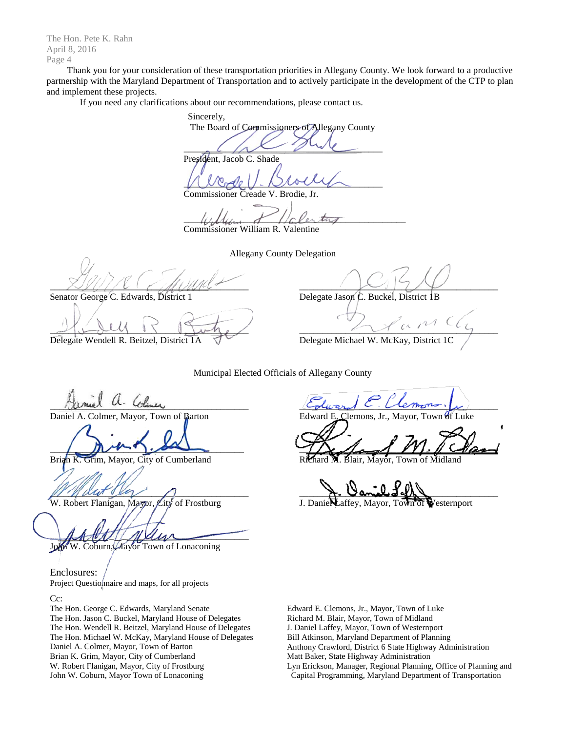The Hon. Pete K. Rahn April 8, 2016 Page 4

Thank you for your consideration of these transportation priorities in Allegany County. We look forward to a productive partnership with the Maryland Department of Transportation and to actively participate in the development of the CTP to plan and implement these projects.

If you need any clarifications about our recommendations, please contact us.

Sincerely, The Board of Commissioners of Allegany County  $\sim$ President, Jacob C. Shade  $UUCZUU. NIGUV$ 

Commissioner Creade V. Brodie, Jr.

 $\psi$ 

Commissioner William R. Valentine

Allegany County Delegation \_\_\_\_\_\_\_\_\_\_\_\_\_\_\_\_\_\_\_\_\_\_\_\_\_\_\_\_\_\_\_\_\_\_\_\_\_\_\_\_\_\_\_

Senator George C. Edwards, District 1

 $\frac{1}{2}$ 

Delegate Wendell R. Beitzel, District 1A

 $\sim$ 

Delegate Jason C. Buckel, District 1B

 $\mathcal{L}_u$  or  $\mathcal{L}\mathcal{L}_y$ 

Delegate Michael W. McKay, District 1C

Municipal Elected Officials of Allegany County

Vaniel a. Cliner

Daniel A. Colmer, Mayor, Town of Barton

 $\frac{1}{2}$ 

Brian K. Grim, Mayor, City of Cumberland

 $M$  dut ever  $\cap$ 

W. Robert Flanigan, Mayor, City of Frostburg

 $\mathcal{M}\mathcal{N}\mathcal{N}$ In W. Coburn, Mayor Town of Lonaconing

Enclosures: Project Questionnaire and maps, for all projects

Cc:

The Hon. George C. Edwards, Maryland Senate The Hon. Jason C. Buckel, Maryland House of Delegates The Hon. Wendell R. Beitzel, Maryland House of Delegates The Hon. Michael W. McKay, Maryland House of Delegates Daniel A. Colmer, Mayor, Town of Barton Brian K. Grim, Mayor, City of Cumberland W. Robert Flanigan, Mayor, City of Frostburg John W. Coburn, Mayor Town of Lonaconing

 $C_{olward}$  C. Vermons,  $\mu$ 

Clemons, Jr., Mayor, Town of Luke

 $711.1 - 1$ 

Mayor.

 $\lambda$ . Vanul Jeff

affey, Mayor, Town of Westernport

Edward E. Clemons, Jr., Mayor, Town of Luke Richard M. Blair, Mayor, Town of Midland J. Daniel Laffey, Mayor, Town of Westernport Bill Atkinson, Maryland Department of Planning Anthony Crawford, District 6 State Highway Administration Matt Baker, State Highway Administration Lyn Erickson, Manager, Regional Planning, Office of Planning and Capital Programming, Maryland Department of Transportation